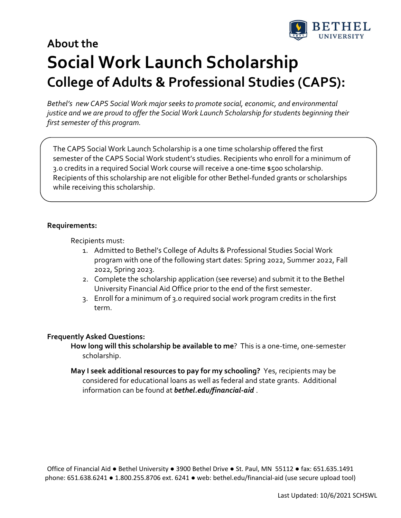

# **About the Social Work Launch Scholarship College of Adults & Professional Studies (CAPS):**

*Bethel's new CAPS Social Work major seeks to promote social, economic, and environmental justice and we are proud to offer the Social Work Launch Scholarship forstudents beginning their first semester of this program.*

The CAPS Social Work Launch Scholarship is a one time scholarship offered the first semester of the CAPS Social Work student's studies. Recipients who enroll for a minimum of 3.0 credits in a required Social Work course will receive a one‐time \$500 scholarship. Recipients of this scholarship are not eligible for other Bethel‐funded grants or scholarships while receiving this scholarship.

### **Requirements:**

Recipients must:

- 1. Admitted to Bethel's College of Adults & Professional Studies Social Work program with one of the following start dates: Spring 2022, Summer 2022, Fall 2022, Spring 2023.
- 2. Complete the scholarship application (see reverse) and submit it to the Bethel University Financial Aid Office prior to the end of the first semester.
- 3. Enroll for a minimum of 3.0 required social work program credits in the first term.

#### **Frequently Asked Questions:**

- **How long will this scholarship be available to me**? This is a one‐time, one‐semester scholarship.
- **May I seek additional resources to pay for my schooling?** Yes, recipients may be considered for educational loans as well as federal and state grants. Additional information can be found at *bethel.edu/financial‐aid* .